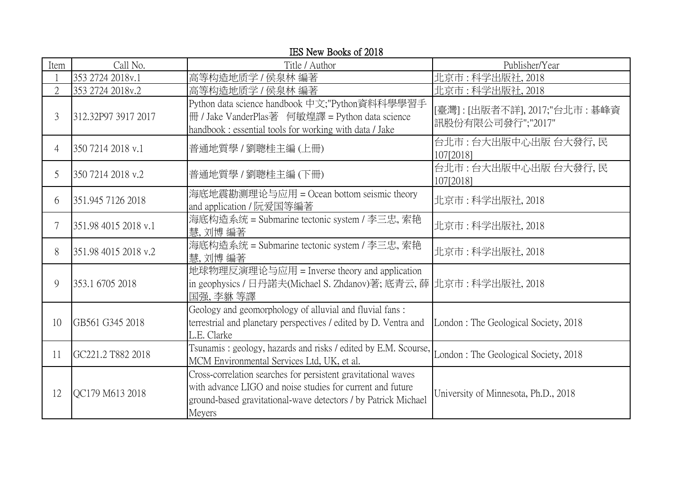| Item           | Call No.             | Title / Author                                                                                                                                                                                          | Publisher/Year                                       |
|----------------|----------------------|---------------------------------------------------------------------------------------------------------------------------------------------------------------------------------------------------------|------------------------------------------------------|
|                | 353 2724 2018v.1     | 高等构造地质学 / 侯泉林 編著                                                                                                                                                                                        | 北京市:科学出版社, 2018                                      |
| $\overline{2}$ | 353 2724 2018v.2     | 高等构造地质学 / 侯泉林 編著                                                                                                                                                                                        | 北京市:科学出版社, 2018                                      |
| 3              | 312.32P97 3917 2017  | Python data science handbook 中文;"Python資料科學學習手<br>冊 / Jake VanderPlas著 何敏煌譯 = Python data science<br>handbook : essential tools for working with data / Jake                                            | [臺灣] : [出版者不詳], 2017;"台北市 : 碁峰資<br>訊股份有限公司發行";"2017" |
| 4              | 350 7214 2018 v.1    | 普通地質學 / 劉聰桂主編 (上冊)                                                                                                                                                                                      | 台北市:台大出版中心出版 台大發行,民<br>107[2018]                     |
| 5              | 350 7214 2018 v.2    | 普通地質學 / 劉聰桂主編 (下冊)                                                                                                                                                                                      | 台北市:台大出版中心出版 台大發行,民<br>107[2018]                     |
| 6              | 351.945 7126 2018    | 海底地震勘测理论与应用 = Ocean bottom seismic theory<br>and application / 阮爱国等編著                                                                                                                                   | 北京市:科学出版社, 2018                                      |
| 7              | 351.98 4015 2018 v.1 | 海底构造系统 = Submarine tectonic system / 李三忠, 索艳<br>慧, 刘博 編著                                                                                                                                                | 北京市:科学出版社,2018                                       |
| 8              | 351.98 4015 2018 v.2 | 海底构造系统 = Submarine tectonic system / 李三忠, 索艳<br>慧, 刘博 編著                                                                                                                                                | 北京市:科学出版社, 2018                                      |
| 9              | 353.1 6705 2018      | 地球物理反演理论与应用 = Inverse theory and application<br>in geophysics / 日丹諾夫(Michael S. Zhdanov)著; 底青云, 薛  北京市 : 科学出版社, 2018<br>国强,李貅等譯                                                                         |                                                      |
| 10             | GB561 G345 2018      | Geology and geomorphology of alluvial and fluvial fans:<br>terrestrial and planetary perspectives / edited by D. Ventra and<br>L.E. Clarke                                                              | London: The Geological Society, 2018                 |
| 11             | GC221.2 T882 2018    | Tsunamis: geology, hazards and risks / edited by E.M. Scourse,<br>MCM Environmental Services Ltd, UK, et al.                                                                                            | London: The Geological Society, 2018                 |
| 12             | QC179 M613 2018      | Cross-correlation searches for persistent gravitational waves<br>with advance LIGO and noise studies for current and future<br>ground-based gravitational-wave detectors / by Patrick Michael<br>Meyers | University of Minnesota, Ph.D., 2018                 |

IES New Books of 2018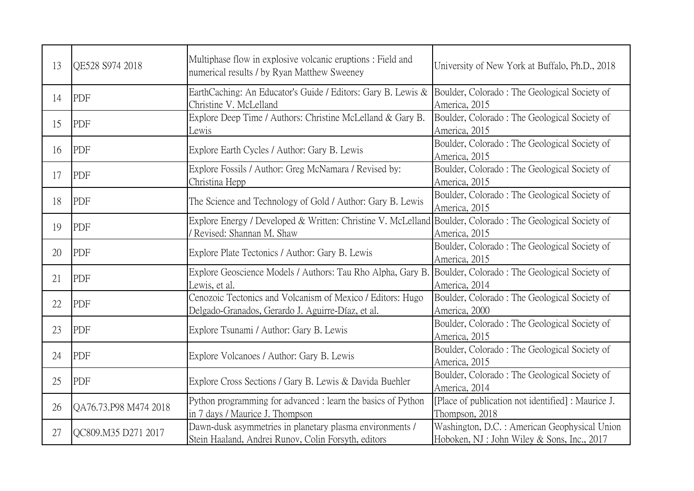| 13 | QE528 S974 2018       | Multiphase flow in explosive volcanic eruptions: Field and<br>numerical results / by Ryan Matthew Sweeney                               | University of New York at Buffalo, Ph.D., 2018                                               |
|----|-----------------------|-----------------------------------------------------------------------------------------------------------------------------------------|----------------------------------------------------------------------------------------------|
| 14 | PDF                   | EarthCaching: An Educator's Guide / Editors: Gary B. Lewis &<br>Christine V. McLelland                                                  | Boulder, Colorado: The Geological Society of<br>America, 2015                                |
| 15 | PDF                   | Explore Deep Time / Authors: Christine McLelland & Gary B.<br>Lewis                                                                     | Boulder, Colorado: The Geological Society of<br>America, 2015                                |
| 16 | PDF                   | Explore Earth Cycles / Author: Gary B. Lewis                                                                                            | Boulder, Colorado: The Geological Society of<br>America, 2015                                |
| 17 | PDF                   | Explore Fossils / Author: Greg McNamara / Revised by:<br>Christina Hepp                                                                 | Boulder, Colorado: The Geological Society of<br>America, 2015                                |
| 18 | PDF                   | The Science and Technology of Gold / Author: Gary B. Lewis                                                                              | Boulder, Colorado: The Geological Society of<br>America, 2015                                |
| 19 | PDF                   | Explore Energy / Developed & Written: Christine V. McLelland Boulder, Colorado: The Geological Society of<br>/ Revised: Shannan M. Shaw | America, 2015                                                                                |
| 20 | <b>PDF</b>            | Explore Plate Tectonics / Author: Gary B. Lewis                                                                                         | Boulder, Colorado: The Geological Society of<br>America, 2015                                |
| 21 | PDF                   | Explore Geoscience Models / Authors: Tau Rho Alpha, Gary B<br>Lewis, et al.                                                             | Boulder, Colorado: The Geological Society of<br>America, 2014                                |
| 22 | PDF                   | Cenozoic Tectonics and Volcanism of Mexico / Editors: Hugo<br>Delgado-Granados, Gerardo J. Aguirre-Díaz, et al.                         | Boulder, Colorado: The Geological Society of<br>America, 2000                                |
| 23 | <b>PDF</b>            | Explore Tsunami / Author: Gary B. Lewis                                                                                                 | Boulder, Colorado: The Geological Society of<br>America, 2015                                |
| 24 | PDF                   | Explore Volcanoes / Author: Gary B. Lewis                                                                                               | Boulder, Colorado: The Geological Society of<br>America, 2015                                |
| 25 | PDF                   | Explore Cross Sections / Gary B. Lewis & Davida Buehler                                                                                 | Boulder, Colorado: The Geological Society of<br>America, 2014                                |
| 26 | QA76.73.P98 M474 2018 | Python programming for advanced : learn the basics of Python<br>in 7 days / Maurice J. Thompson                                         | [Place of publication not identified] : Maurice J.<br>Thompson, 2018                         |
| 27 | QC809.M35 D271 2017   | Dawn-dusk asymmetries in planetary plasma environments /<br>Stein Haaland, Andrei Runov, Colin Forsyth, editors                         | Washington, D.C. : American Geophysical Union<br>Hoboken, NJ : John Wiley & Sons, Inc., 2017 |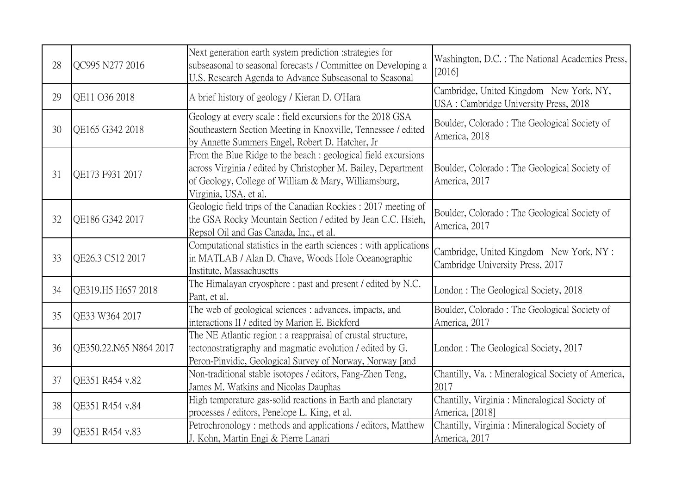| 28 | QC995 N277 2016        | Next generation earth system prediction : strategies for<br>subseasonal to seasonal forecasts / Committee on Developing a<br>U.S. Research Agenda to Advance Subseasonal to Seasonal                             | Washington, D.C. : The National Academies Press,<br>[2016]                       |
|----|------------------------|------------------------------------------------------------------------------------------------------------------------------------------------------------------------------------------------------------------|----------------------------------------------------------------------------------|
| 29 | QE11 O36 2018          | A brief history of geology / Kieran D. O'Hara                                                                                                                                                                    | Cambridge, United Kingdom New York, NY,<br>USA: Cambridge University Press, 2018 |
| 30 | QE165 G342 2018        | Geology at every scale: field excursions for the 2018 GSA<br>Southeastern Section Meeting in Knoxville, Tennessee / edited<br>by Annette Summers Engel, Robert D. Hatcher, Jr                                    | Boulder, Colorado: The Geological Society of<br>America, 2018                    |
| 31 | OE173 F931 2017        | From the Blue Ridge to the beach : geological field excursions<br>across Virginia / edited by Christopher M. Bailey, Department<br>of Geology, College of William & Mary, Williamsburg,<br>Virginia, USA, et al. | Boulder, Colorado: The Geological Society of<br>America, 2017                    |
| 32 | QE186 G342 2017        | Geologic field trips of the Canadian Rockies: 2017 meeting of<br>the GSA Rocky Mountain Section / edited by Jean C.C. Hsieh,<br>Repsol Oil and Gas Canada, Inc., et al.                                          | Boulder, Colorado: The Geological Society of<br>America, 2017                    |
| 33 | QE26.3 C512 2017       | Computational statistics in the earth sciences : with applications<br>in MATLAB / Alan D. Chave, Woods Hole Oceanographic<br>Institute, Massachusetts                                                            | Cambridge, United Kingdom New York, NY :<br>Cambridge University Press, 2017     |
| 34 | QE319.H5 H657 2018     | The Himalayan cryosphere: past and present / edited by N.C.<br>Pant, et al.                                                                                                                                      | London: The Geological Society, 2018                                             |
| 35 | QE33 W364 2017         | The web of geological sciences : advances, impacts, and<br>interactions II / edited by Marion E. Bickford                                                                                                        | Boulder, Colorado: The Geological Society of<br>America, 2017                    |
| 36 | QE350.22.N65 N864 2017 | The NE Atlantic region : a reappraisal of crustal structure,<br>tectonostratigraphy and magmatic evolution / edited by G.<br>Peron-Pinvidic, Geological Survey of Norway, Norway [and                            | London: The Geological Society, 2017                                             |
| 37 | QE351 R454 v.82        | Non-traditional stable isotopes / editors, Fang-Zhen Teng,<br>James M. Watkins and Nicolas Dauphas                                                                                                               | Chantilly, Va.: Mineralogical Society of America,<br>2017                        |
| 38 | QE351 R454 v.84        | High temperature gas-solid reactions in Earth and planetary<br>processes / editors, Penelope L. King, et al.                                                                                                     | Chantilly, Virginia: Mineralogical Society of<br>America, [2018]                 |
| 39 | QE351 R454 v.83        | Petrochronology: methods and applications / editors, Matthew<br>J. Kohn, Martin Engi & Pierre Lanari                                                                                                             | Chantilly, Virginia : Mineralogical Society of<br>America, 2017                  |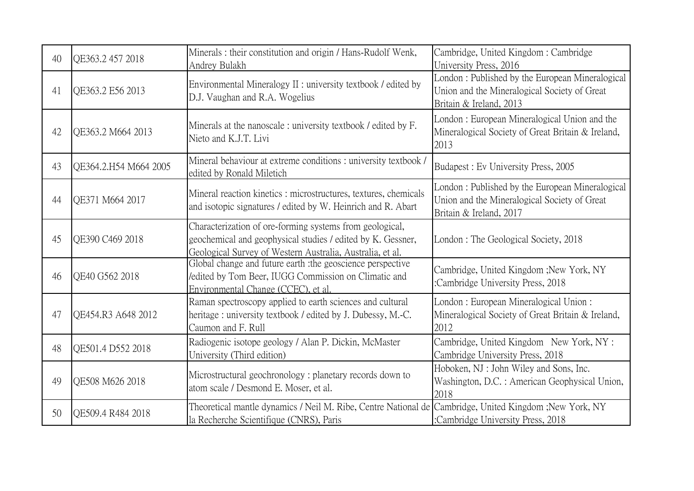| 40 | QE363.2 457 2018      | Minerals: their constitution and origin / Hans-Rudolf Wenk,<br>Andrey Bulakh                                                                                                         | Cambridge, United Kingdom: Cambridge<br>University Press, 2016                                                             |
|----|-----------------------|--------------------------------------------------------------------------------------------------------------------------------------------------------------------------------------|----------------------------------------------------------------------------------------------------------------------------|
| 41 | QE363.2 E56 2013      | Environmental Mineralogy II : university textbook / edited by<br>D.J. Vaughan and R.A. Wogelius                                                                                      | London: Published by the European Mineralogical<br>Union and the Mineralogical Society of Great<br>Britain & Ireland, 2013 |
| 42 | QE363.2 M664 2013     | Minerals at the nanoscale: university textbook / edited by F.<br>Nieto and K.J.T. Livi                                                                                               | London: European Mineralogical Union and the<br>Mineralogical Society of Great Britain & Ireland,<br>2013                  |
| 43 | QE364.2.H54 M664 2005 | Mineral behaviour at extreme conditions : university textbook /<br>edited by Ronald Miletich                                                                                         | Budapest: Ev University Press, 2005                                                                                        |
| 44 | OE371 M664 2017       | Mineral reaction kinetics: microstructures, textures, chemicals<br>and isotopic signatures / edited by W. Heinrich and R. Abart                                                      | London: Published by the European Mineralogical<br>Union and the Mineralogical Society of Great<br>Britain & Ireland, 2017 |
| 45 | OE390 C469 2018       | Characterization of ore-forming systems from geological,<br>geochemical and geophysical studies / edited by K. Gessner,<br>Geological Survey of Western Australia, Australia, et al. | London: The Geological Society, 2018                                                                                       |
| 46 | QE40 G562 2018        | Global change and future earth : the geoscience perspective<br>/edited by Tom Beer, IUGG Commission on Climatic and<br>Environmental Change (CCEC), et al                            | Cambridge, United Kingdom ; New York, NY<br>:Cambridge University Press, 2018                                              |
| 47 | QE454.R3 A648 2012    | Raman spectroscopy applied to earth sciences and cultural<br>heritage: university textbook / edited by J. Dubessy, M.-C.<br>Caumon and F. Rull                                       | London: European Mineralogical Union:<br>Mineralogical Society of Great Britain & Ireland,<br>2012                         |
| 48 | QE501.4 D552 2018     | Radiogenic isotope geology / Alan P. Dickin, McMaster<br>University (Third edition)                                                                                                  | Cambridge, United Kingdom New York, NY :<br>Cambridge University Press, 2018                                               |
| 49 | QE508 M626 2018       | Microstructural geochronology: planetary records down to<br>atom scale / Desmond E. Moser, et al.                                                                                    | Hoboken, NJ: John Wiley and Sons, Inc.<br>Washington, D.C.: American Geophysical Union,<br>2018                            |
| 50 | QE509.4 R484 2018     | Theoretical mantle dynamics / Neil M. Ribe, Centre National de Cambridge, United Kingdom ;New York, NY<br>la Recherche Scientifique (CNRS), Paris                                    | :Cambridge University Press, 2018                                                                                          |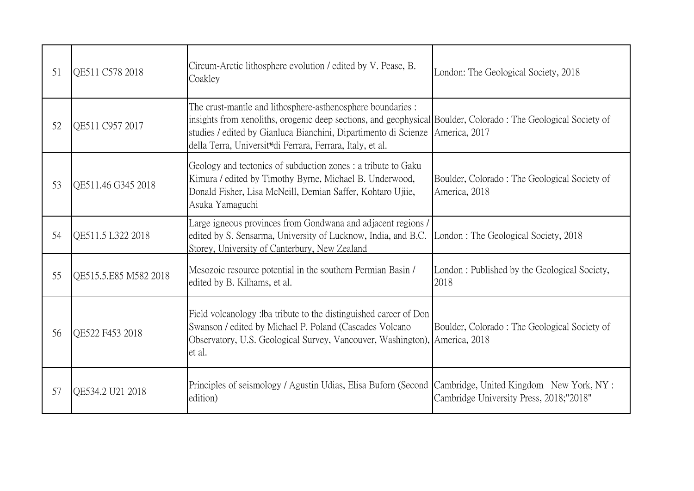| 51 | <b>OE511 C578 2018</b> | Circum-Arctic lithosphere evolution / edited by V. Pease, B.<br>Coakley                                                                                                                                                                                                                                                    | London: The Geological Society, 2018                          |
|----|------------------------|----------------------------------------------------------------------------------------------------------------------------------------------------------------------------------------------------------------------------------------------------------------------------------------------------------------------------|---------------------------------------------------------------|
| 52 | QE511 C957 2017        | The crust-mantle and lithosphere-asthenosphere boundaries :<br>insights from xenoliths, orogenic deep sections, and geophysical Boulder, Colorado: The Geological Society of<br>studies / edited by Gianluca Bianchini, Dipartimento di Scienze<br>della Terra, Universit <sup>ti</sup> di Ferrara, Ferrara, Italy, et al. | America, 2017                                                 |
| 53 | OE511.46 G345 2018     | Geology and tectonics of subduction zones : a tribute to Gaku<br>Kimura / edited by Timothy Byrne, Michael B. Underwood,<br>Donald Fisher, Lisa McNeill, Demian Saffer, Kohtaro Ujiie,<br>Asuka Yamaguchi                                                                                                                  | Boulder, Colorado: The Geological Society of<br>America, 2018 |
| 54 | QE511.5 L322 2018      | Large igneous provinces from Gondwana and adjacent regions /<br>edited by S. Sensarma, University of Lucknow, India, and B.C.<br>Storey, University of Canterbury, New Zealand                                                                                                                                             | London: The Geological Society, 2018                          |
| 55 | QE515.5.E85 M582 2018  | Mesozoic resource potential in the southern Permian Basin /<br>edited by B. Kilhams, et al.                                                                                                                                                                                                                                | London: Published by the Geological Society,<br>2018          |
| 56 | QE522 F453 2018        | Field volcanology: Iba tribute to the distinguished career of Don<br>Swanson / edited by Michael P. Poland (Cascades Volcano<br>Observatory, U.S. Geological Survey, Vancouver, Washington), America, 2018<br>et al.                                                                                                       | Boulder, Colorado: The Geological Society of                  |
| 57 | QE534.2 U21 2018       | Principles of seismology / Agustin Udias, Elisa Buforn (Second Cambridge, United Kingdom New York, NY:<br>edition)                                                                                                                                                                                                         | Cambridge University Press, 2018;"2018"                       |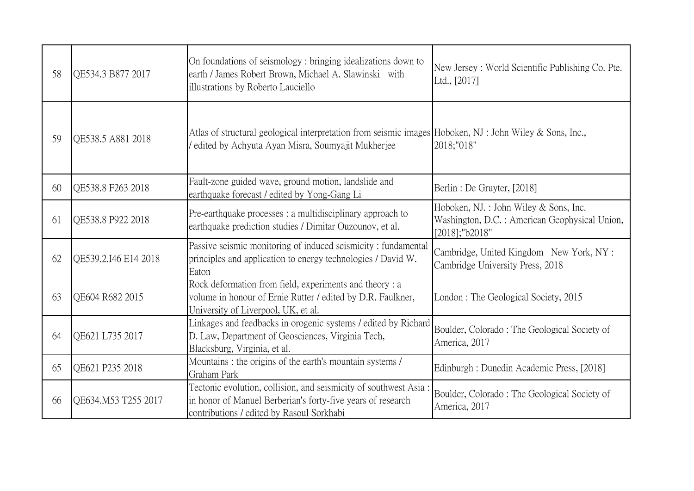| 58 | QE534.3 B877 2017    | On foundations of seismology: bringing idealizations down to<br>earth / James Robert Brown, Michael A. Slawinski with<br>illustrations by Roberto Lauciello                  | New Jersey: World Scientific Publishing Co. Pte.<br>Ltd., [2017]                                         |
|----|----------------------|------------------------------------------------------------------------------------------------------------------------------------------------------------------------------|----------------------------------------------------------------------------------------------------------|
| 59 | QE538.5 A881 2018    | Atlas of structural geological interpretation from seismic images Hoboken, NJ : John Wiley & Sons, Inc.,<br>edited by Achyuta Ayan Misra, Soumyajit Mukherjee                | 2018;"018"                                                                                               |
| 60 | QE538.8 F263 2018    | Fault-zone guided wave, ground motion, landslide and<br>earthquake forecast / edited by Yong-Gang Li                                                                         | Berlin: De Gruyter, [2018]                                                                               |
| 61 | QE538.8 P922 2018    | Pre-earthquake processes : a multidisciplinary approach to<br>earthquake prediction studies / Dimitar Ouzounov, et al.                                                       | Hoboken, NJ.: John Wiley & Sons, Inc.<br>Washington, D.C.: American Geophysical Union,<br>[2018];"b2018" |
| 62 | QE539.2.I46 E14 2018 | Passive seismic monitoring of induced seismicity : fundamental<br>principles and application to energy technologies / David W.<br>Eaton                                      | Cambridge, United Kingdom New York, NY :<br>Cambridge University Press, 2018                             |
| 63 | QE604 R682 2015      | Rock deformation from field, experiments and theory : a<br>volume in honour of Ernie Rutter / edited by D.R. Faulkner,<br>University of Liverpool, UK, et al.                | London: The Geological Society, 2015                                                                     |
| 64 | QE621 L735 2017      | Linkages and feedbacks in orogenic systems / edited by Richard<br>D. Law, Department of Geosciences, Virginia Tech,<br>Blacksburg, Virginia, et al.                          | Boulder, Colorado: The Geological Society of<br>America, 2017                                            |
| 65 | QE621 P235 2018      | Mountains : the origins of the earth's mountain systems /<br>Graham Park                                                                                                     | Edinburgh : Dunedin Academic Press, [2018]                                                               |
| 66 | QE634.M53 T255 2017  | Tectonic evolution, collision, and seismicity of southwest Asia:<br>in honor of Manuel Berberian's forty-five years of research<br>contributions / edited by Rasoul Sorkhabi | Boulder, Colorado: The Geological Society of<br>America, 2017                                            |